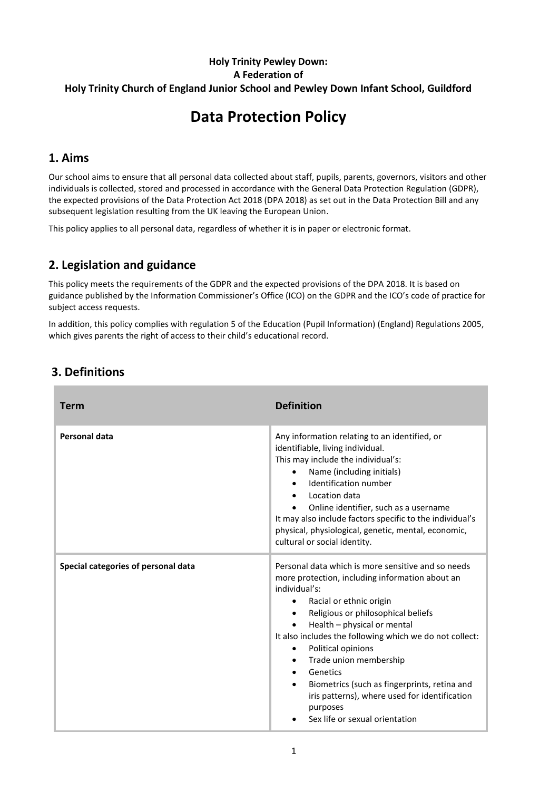### **Holy Trinity Pewley Down: A Federation of Holy Trinity Church of England Junior School and Pewley Down Infant School, Guildford**

# **Data Protection Policy**

## **1. Aims**

Our school aims to ensure that all personal data collected about staff, pupils, parents, governors, visitors and other individuals is collected, stored and processed in accordance with the [General Data Protection Regulation \(GDPR\),](http://data.consilium.europa.eu/doc/document/ST-5419-2016-INIT/en/pdf) the expected provisions of the Data Protection Act 2018 (DPA 2018) as set out in the Data [Protection Bill](https://publications.parliament.uk/pa/bills/cbill/2017-2019/0153/18153.pdf) and any subsequent legislation resulting from the UK leaving the European Union.

This policy applies to all personal data, regardless of whether it is in paper or electronic format.

## **2. Legislation and guidance**

This policy meets the requirements of the GDPR and the expected provisions of the DPA 2018. It is based on guidance published by the Information Commissioner's Office (ICO) on the [GDPR](https://ico.org.uk/for-organisations/guide-to-the-general-data-protection-regulation-gdpr/individual-rights/right-to-be-informed/) and the ICO's [code of practice for](https://ico.org.uk/media/for-organisations/documents/2014223/subject-access-code-of-practice.pdf)  [subject access requests.](https://ico.org.uk/media/for-organisations/documents/2014223/subject-access-code-of-practice.pdf)

In addition, this policy complies with regulation 5 of the [Education \(Pupil Information\) \(England\) Regulations 2005,](http://www.legislation.gov.uk/uksi/2005/1437/regulation/5/made) which gives parents the right of access to their child's educational record.

| Term                                | <b>Definition</b>                                                                                                                                                                                                                                                                                                                                                                                                                                                                                                                                                                       |
|-------------------------------------|-----------------------------------------------------------------------------------------------------------------------------------------------------------------------------------------------------------------------------------------------------------------------------------------------------------------------------------------------------------------------------------------------------------------------------------------------------------------------------------------------------------------------------------------------------------------------------------------|
| Personal data                       | Any information relating to an identified, or<br>identifiable, living individual.<br>This may include the individual's:<br>Name (including initials)<br>Identification number<br>$\bullet$<br>Location data<br>$\bullet$<br>Online identifier, such as a username<br>$\bullet$<br>It may also include factors specific to the individual's<br>physical, physiological, genetic, mental, economic,<br>cultural or social identity.                                                                                                                                                       |
| Special categories of personal data | Personal data which is more sensitive and so needs<br>more protection, including information about an<br>individual's:<br>Racial or ethnic origin<br>$\bullet$<br>Religious or philosophical beliefs<br>$\bullet$<br>Health - physical or mental<br>$\bullet$<br>It also includes the following which we do not collect:<br>Political opinions<br>$\bullet$<br>Trade union membership<br>$\bullet$<br>Genetics<br>$\bullet$<br>Biometrics (such as fingerprints, retina and<br>$\bullet$<br>iris patterns), where used for identification<br>purposes<br>Sex life or sexual orientation |
|                                     |                                                                                                                                                                                                                                                                                                                                                                                                                                                                                                                                                                                         |

## **3. Definitions**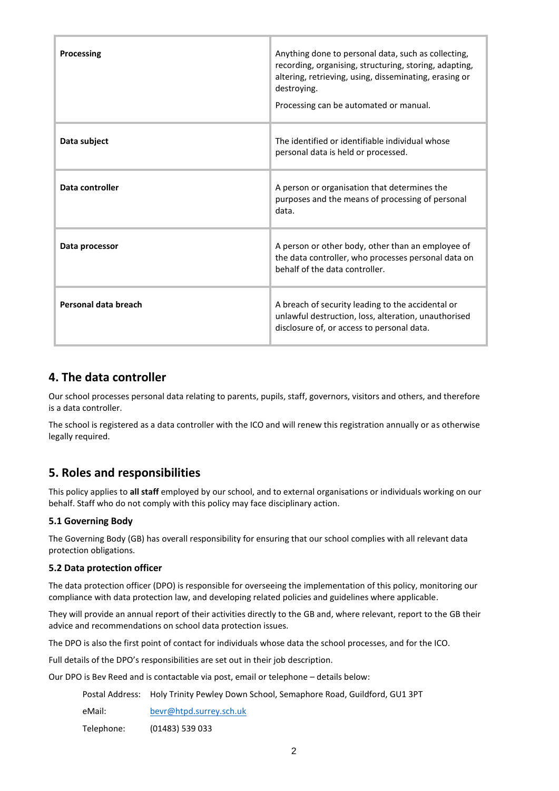| Processing           | Anything done to personal data, such as collecting,<br>recording, organising, structuring, storing, adapting,<br>altering, retrieving, using, disseminating, erasing or<br>destroving.<br>Processing can be automated or manual. |
|----------------------|----------------------------------------------------------------------------------------------------------------------------------------------------------------------------------------------------------------------------------|
| Data subject         | The identified or identifiable individual whose<br>personal data is held or processed.                                                                                                                                           |
| Data controller      | A person or organisation that determines the<br>purposes and the means of processing of personal<br>data.                                                                                                                        |
| Data processor       | A person or other body, other than an employee of<br>the data controller, who processes personal data on<br>behalf of the data controller.                                                                                       |
| Personal data breach | A breach of security leading to the accidental or<br>unlawful destruction, loss, alteration, unauthorised<br>disclosure of, or access to personal data.                                                                          |

## **4. The data controller**

Our school processes personal data relating to parents, pupils, staff, governors, visitors and others, and therefore is a data controller.

The school is registered as a data controller with the ICO and will renew this registration annually or as otherwise legally required.

## **5. Roles and responsibilities**

This policy applies to **all staff** employed by our school, and to external organisations or individuals working on our behalf. Staff who do not comply with this policy may face disciplinary action.

#### **5.1 Governing Body**

The Governing Body (GB) has overall responsibility for ensuring that our school complies with all relevant data protection obligations.

#### **5.2 Data protection officer**

The data protection officer (DPO) is responsible for overseeing the implementation of this policy, monitoring our compliance with data protection law, and developing related policies and guidelines where applicable.

They will provide an annual report of their activities directly to the GB and, where relevant, report to the GB their advice and recommendations on school data protection issues.

The DPO is also the first point of contact for individuals whose data the school processes, and for the ICO.

Full details of the DPO's responsibilities are set out in their job description.

Our DPO is Bev Reed and is contactable via post, email or telephone – details below:

|            | Postal Address: Holy Trinity Pewley Down School, Semaphore Road, Guildford, GU1 3PT |
|------------|-------------------------------------------------------------------------------------|
| eMail:     | bevr@htpd.surrey.sch.uk                                                             |
| Telephone: | (01483) 539 033                                                                     |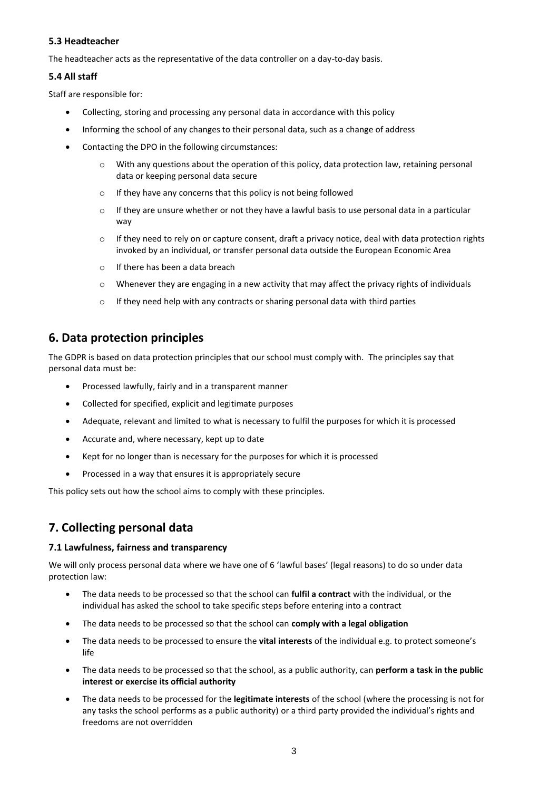#### **5.3 Headteacher**

The headteacher acts as the representative of the data controller on a day-to-day basis.

#### **5.4 All staff**

Staff are responsible for:

- Collecting, storing and processing any personal data in accordance with this policy
- Informing the school of any changes to their personal data, such as a change of address
- Contacting the DPO in the following circumstances:
	- o With any questions about the operation of this policy, data protection law, retaining personal data or keeping personal data secure
	- o If they have any concerns that this policy is not being followed
	- o If they are unsure whether or not they have a lawful basis to use personal data in a particular way
	- $\circ$  If they need to rely on or capture consent, draft a privacy notice, deal with data protection rights invoked by an individual, or transfer personal data outside the European Economic Area
	- o If there has been a data breach
	- $\circ$  Whenever they are engaging in a new activity that may affect the privacy rights of individuals
	- o If they need help with any contracts or sharing personal data with third parties

## **6. Data protection principles**

The GDPR is based on data protection principles that our school must comply with. The principles say that personal data must be:

- Processed lawfully, fairly and in a transparent manner
- Collected for specified, explicit and legitimate purposes
- Adequate, relevant and limited to what is necessary to fulfil the purposes for which it is processed
- Accurate and, where necessary, kept up to date
- Kept for no longer than is necessary for the purposes for which it is processed
- Processed in a way that ensures it is appropriately secure

This policy sets out how the school aims to comply with these principles.

## **7. Collecting personal data**

#### **7.1 Lawfulness, fairness and transparency**

We will only process personal data where we have one of 6 'lawful bases' (legal reasons) to do so under data protection law:

- The data needs to be processed so that the school can **fulfil a contract** with the individual, or the individual has asked the school to take specific steps before entering into a contract
- The data needs to be processed so that the school can **comply with a legal obligation**
- The data needs to be processed to ensure the **vital interests** of the individual e.g. to protect someone's life
- The data needs to be processed so that the school, as a public authority, can **perform a task in the public interest or exercise its official authority**
- The data needs to be processed for the **legitimate interests** of the school (where the processing is not for any tasks the school performs as a public authority) or a third party provided the individual's rights and freedoms are not overridden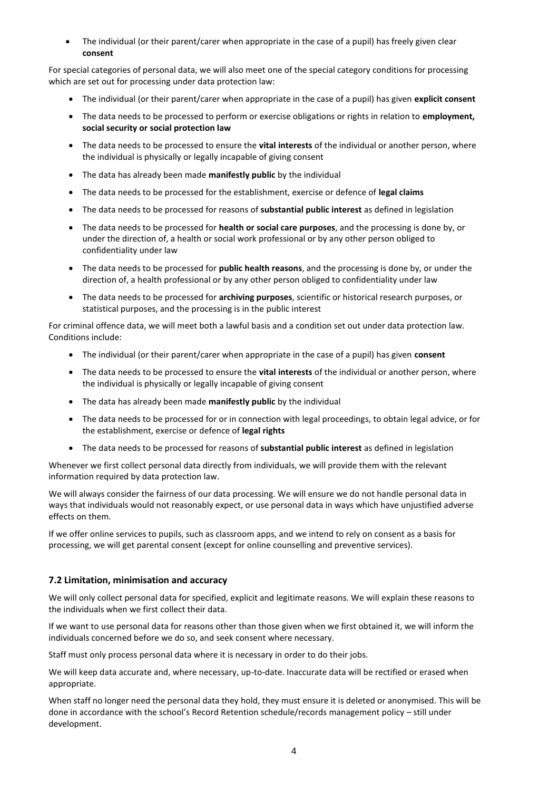The individual (or their parent/carer when appropriate in the case of a pupil) has freely given clear **consent**

For special categories of personal data, we will also meet one of the special category conditions for processing which are set out for processing under data protection law:

- The individual (or their parent/carer when appropriate in the case of a pupil) has given **explicit consent**
- The data needs to be processed to perform or exercise obligations or rights in relation to **employment, social security or social protection law**
- The data needs to be processed to ensure the **vital interests** of the individual or another person, where the individual is physically or legally incapable of giving consent
- The data has already been made **manifestly public** by the individual
- The data needs to be processed for the establishment, exercise or defence of **legal claims**
- The data needs to be processed for reasons of **substantial public interest** as defined in legislation
- The data needs to be processed for **health or social care purposes**, and the processing is done by, or under the direction of, a health or social work professional or by any other person obliged to confidentiality under law
- The data needs to be processed for **public health reasons**, and the processing is done by, or under the direction of, a health professional or by any other person obliged to confidentiality under law
- The data needs to be processed for **archiving purposes**, scientific or historical research purposes, or statistical purposes, and the processing is in the public interest

For criminal offence data, we will meet both a lawful basis and a condition set out under data protection law. Conditions include:

- The individual (or their parent/carer when appropriate in the case of a pupil) has given **consent**
- The data needs to be processed to ensure the **vital interests** of the individual or another person, where the individual is physically or legally incapable of giving consent
- The data has already been made **manifestly public** by the individual
- The data needs to be processed for or in connection with legal proceedings, to obtain legal advice, or for the establishment, exercise or defence of **legal rights**
- The data needs to be processed for reasons of **substantial public interest** as defined in legislation

Whenever we first collect personal data directly from individuals, we will provide them with the relevant information required by data protection law.

We will always consider the fairness of our data processing. We will ensure we do not handle personal data in ways that individuals would not reasonably expect, or use personal data in ways which have unjustified adverse effects on them.

If we offer online services to pupils, such as classroom apps, and we intend to rely on consent as a basis for processing, we will get parental consent (except for online counselling and preventive services).

#### **7.2 Limitation, minimisation and accuracy**

We will only collect personal data for specified, explicit and legitimate reasons. We will explain these reasons to the individuals when we first collect their data.

If we want to use personal data for reasons other than those given when we first obtained it, we will inform the individuals concerned before we do so, and seek consent where necessary.

Staff must only process personal data where it is necessary in order to do their jobs.

We will keep data accurate and, where necessary, up-to-date. Inaccurate data will be rectified or erased when appropriate.

When staff no longer need the personal data they hold, they must ensure it is deleted or anonymised. This will be done in accordance with the school's Record Retention schedule/records management policy – still under development.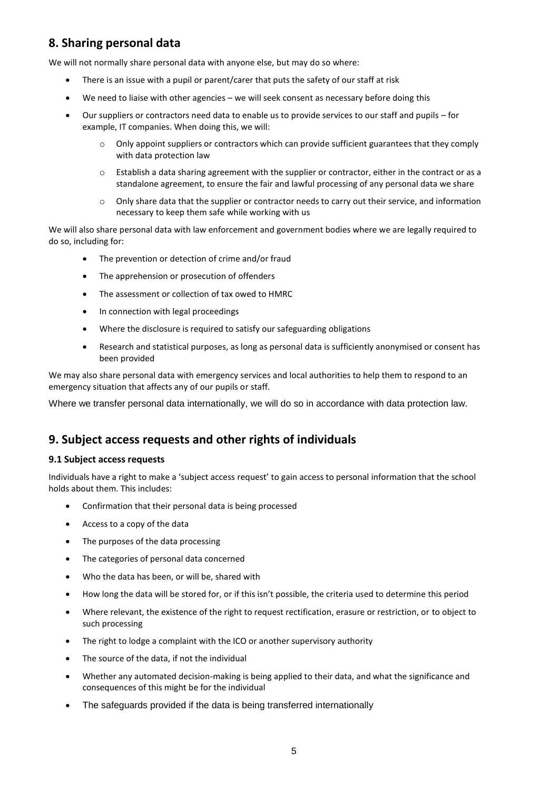## **8. Sharing personal data**

We will not normally share personal data with anyone else, but may do so where:

- There is an issue with a pupil or parent/carer that puts the safety of our staff at risk
- We need to liaise with other agencies we will seek consent as necessary before doing this
- Our suppliers or contractors need data to enable us to provide services to our staff and pupils for example, IT companies. When doing this, we will:
	- o Only appoint suppliers or contractors which can provide sufficient guarantees that they comply with data protection law
	- o Establish a data sharing agreement with the supplier or contractor, either in the contract or as a standalone agreement, to ensure the fair and lawful processing of any personal data we share
	- o Only share data that the supplier or contractor needs to carry out their service, and information necessary to keep them safe while working with us

We will also share personal data with law enforcement and government bodies where we are legally required to do so, including for:

- The prevention or detection of crime and/or fraud
- The apprehension or prosecution of offenders
- The assessment or collection of tax owed to HMRC
- In connection with legal proceedings
- Where the disclosure is required to satisfy our safeguarding obligations
- Research and statistical purposes, as long as personal data is sufficiently anonymised or consent has been provided

We may also share personal data with emergency services and local authorities to help them to respond to an emergency situation that affects any of our pupils or staff.

Where we transfer personal data internationally, we will do so in accordance with data protection law.

### **9. Subject access requests and other rights of individuals**

#### **9.1 Subject access requests**

Individuals have a right to make a 'subject access request' to gain access to personal information that the school holds about them. This includes:

- Confirmation that their personal data is being processed
- Access to a copy of the data
- The purposes of the data processing
- The categories of personal data concerned
- Who the data has been, or will be, shared with
- How long the data will be stored for, or if this isn't possible, the criteria used to determine this period
- Where relevant, the existence of the right to request rectification, erasure or restriction, or to object to such processing
- The right to lodge a complaint with the ICO or another supervisory authority
- The source of the data, if not the individual
- Whether any automated decision-making is being applied to their data, and what the significance and consequences of this might be for the individual
- The safeguards provided if the data is being transferred internationally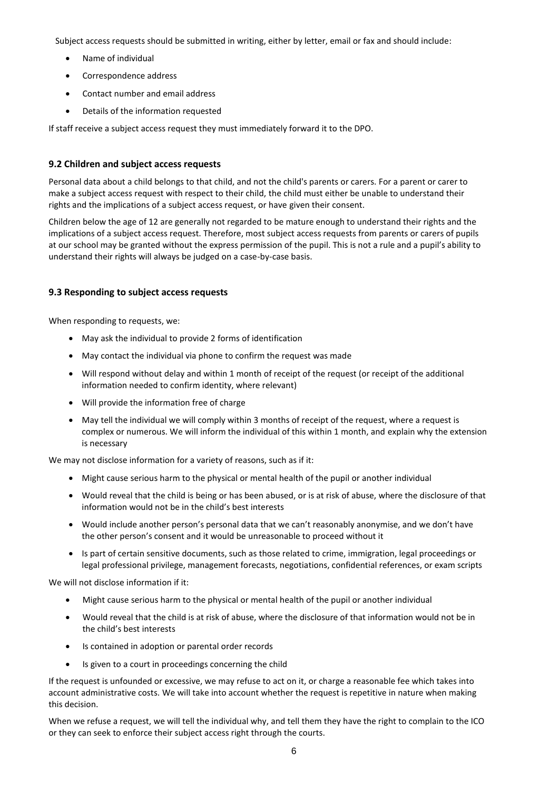Subject access requests should be submitted in writing, either by letter, email or fax and should include:

- Name of individual
- Correspondence address
- Contact number and email address
- Details of the information requested

If staff receive a subject access request they must immediately forward it to the DPO.

#### **9.2 Children and subject access requests**

Personal data about a child belongs to that child, and not the child's parents or carers. For a parent or carer to make a subject access request with respect to their child, the child must either be unable to understand their rights and the implications of a subject access request, or have given their consent.

Children below the age of 12 are generally not regarded to be mature enough to understand their rights and the implications of a subject access request. Therefore, most subject access requests from parents or carers of pupils at our school may be granted without the express permission of the pupil. This is not a rule and a pupil's ability to understand their rights will always be judged on a case-by-case basis.

#### **9.3 Responding to subject access requests**

When responding to requests, we:

- May ask the individual to provide 2 forms of identification
- May contact the individual via phone to confirm the request was made
- Will respond without delay and within 1 month of receipt of the request (or receipt of the additional information needed to confirm identity, where relevant)
- Will provide the information free of charge
- May tell the individual we will comply within 3 months of receipt of the request, where a request is complex or numerous. We will inform the individual of this within 1 month, and explain why the extension is necessary

We may not disclose information for a variety of reasons, such as if it:

- Might cause serious harm to the physical or mental health of the pupil or another individual
- Would reveal that the child is being or has been abused, or is at risk of abuse, where the disclosure of that information would not be in the child's best interests
- Would include another person's personal data that we can't reasonably anonymise, and we don't have the other person's consent and it would be unreasonable to proceed without it
- Is part of certain sensitive documents, such as those related to crime, immigration, legal proceedings or legal professional privilege, management forecasts, negotiations, confidential references, or exam scripts

We will not disclose information if it:

- Might cause serious harm to the physical or mental health of the pupil or another individual
- Would reveal that the child is at risk of abuse, where the disclosure of that information would not be in the child's best interests
- Is contained in adoption or parental order records
- Is given to a court in proceedings concerning the child

If the request is unfounded or excessive, we may refuse to act on it, or charge a reasonable fee which takes into account administrative costs. We will take into account whether the request is repetitive in nature when making this decision.

When we refuse a request, we will tell the individual why, and tell them they have the right to complain to the ICO or they can seek to enforce their subject access right through the courts.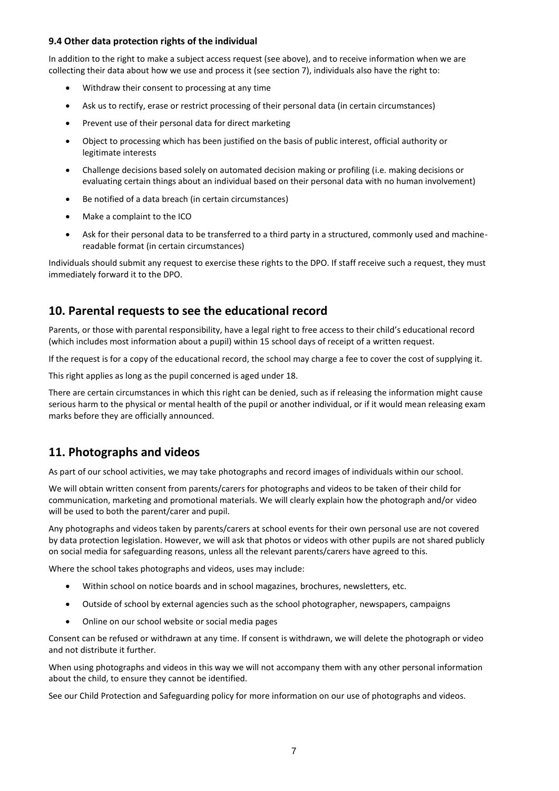#### **9.4 Other data protection rights of the individual**

In addition to the right to make a subject access request (see above), and to receive information when we are collecting their data about how we use and process it (see section 7), individuals also have the right to:

- Withdraw their consent to processing at any time
- Ask us to rectify, erase or restrict processing of their personal data (in certain circumstances)
- Prevent use of their personal data for direct marketing
- Object to processing which has been justified on the basis of public interest, official authority or legitimate interests
- Challenge decisions based solely on automated decision making or profiling (i.e. making decisions or evaluating certain things about an individual based on their personal data with no human involvement)
- Be notified of a data breach (in certain circumstances)
- Make a complaint to the ICO
- Ask for their personal data to be transferred to a third party in a structured, commonly used and machinereadable format (in certain circumstances)

Individuals should submit any request to exercise these rights to the DPO. If staff receive such a request, they must immediately forward it to the DPO.

## **10. Parental requests to see the educational record**

Parents, or those with parental responsibility, have a legal right to free access to their child's educational record (which includes most information about a pupil) within 15 school days of receipt of a written request.

If the request is for a copy of the educational record, the school may charge a fee to cover the cost of supplying it.

This right applies as long as the pupil concerned is aged under 18.

There are certain circumstances in which this right can be denied, such as if releasing the information might cause serious harm to the physical or mental health of the pupil or another individual, or if it would mean releasing exam marks before they are officially announced.

## **11. Photographs and videos**

As part of our school activities, we may take photographs and record images of individuals within our school.

We will obtain written consent from parents/carers for photographs and videos to be taken of their child for communication, marketing and promotional materials. We will clearly explain how the photograph and/or video will be used to both the parent/carer and pupil.

Any photographs and videos taken by parents/carers at school events for their own personal use are not covered by data protection legislation. However, we will ask that photos or videos with other pupils are not shared publicly on social media for safeguarding reasons, unless all the relevant parents/carers have agreed to this.

Where the school takes photographs and videos, uses may include:

- Within school on notice boards and in school magazines, brochures, newsletters, etc.
- Outside of school by external agencies such as the school photographer, newspapers, campaigns
- Online on our school website or social media pages

Consent can be refused or withdrawn at any time. If consent is withdrawn, we will delete the photograph or video and not distribute it further.

When using photographs and videos in this way we will not accompany them with any other personal information about the child, to ensure they cannot be identified.

See our Child Protection and Safeguarding policy for more information on our use of photographs and videos.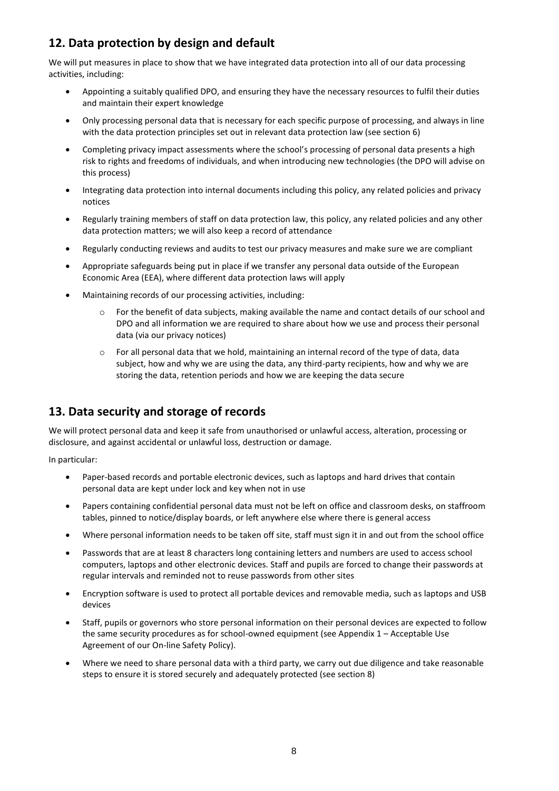## **12. Data protection by design and default**

We will put measures in place to show that we have integrated data protection into all of our data processing activities, including:

- Appointing a suitably qualified DPO, and ensuring they have the necessary resources to fulfil their duties and maintain their expert knowledge
- Only processing personal data that is necessary for each specific purpose of processing, and always in line with the data protection principles set out in relevant data protection law (see section 6)
- Completing privacy impact assessments where the school's processing of personal data presents a high risk to rights and freedoms of individuals, and when introducing new technologies (the DPO will advise on this process)
- Integrating data protection into internal documents including this policy, any related policies and privacy notices
- Regularly training members of staff on data protection law, this policy, any related policies and any other data protection matters; we will also keep a record of attendance
- Regularly conducting reviews and audits to test our privacy measures and make sure we are compliant
- Appropriate safeguards being put in place if we transfer any personal data outside of the European Economic Area (EEA), where different data protection laws will apply
- Maintaining records of our processing activities, including:
	- o For the benefit of data subjects, making available the name and contact details of our school and DPO and all information we are required to share about how we use and process their personal data (via our privacy notices)
	- o For all personal data that we hold, maintaining an internal record of the type of data, data subject, how and why we are using the data, any third-party recipients, how and why we are storing the data, retention periods and how we are keeping the data secure

## **13. Data security and storage of records**

We will protect personal data and keep it safe from unauthorised or unlawful access, alteration, processing or disclosure, and against accidental or unlawful loss, destruction or damage.

In particular:

- Paper-based records and portable electronic devices, such as laptops and hard drives that contain personal data are kept under lock and key when not in use
- Papers containing confidential personal data must not be left on office and classroom desks, on staffroom tables, pinned to notice/display boards, or left anywhere else where there is general access
- Where personal information needs to be taken off site, staff must sign it in and out from the school office
- Passwords that are at least 8 characters long containing letters and numbers are used to access school computers, laptops and other electronic devices. Staff and pupils are forced to change their passwords at regular intervals and reminded not to reuse passwords from other sites
- Encryption software is used to protect all portable devices and removable media, such as laptops and USB devices
- Staff, pupils or governors who store personal information on their personal devices are expected to follow the same security procedures as for school-owned equipment (see Appendix 1 – Acceptable Use Agreement of our On-line Safety Policy).
- Where we need to share personal data with a third party, we carry out due diligence and take reasonable steps to ensure it is stored securely and adequately protected (see section 8)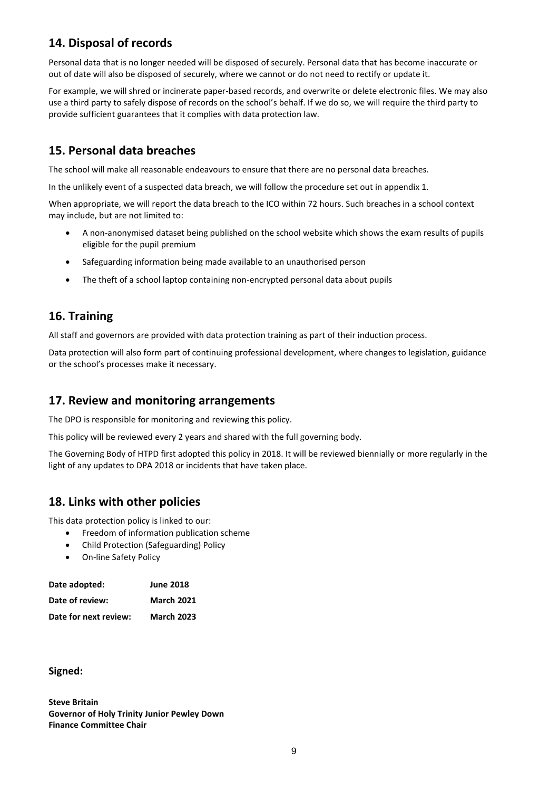## **14. Disposal of records**

Personal data that is no longer needed will be disposed of securely. Personal data that has become inaccurate or out of date will also be disposed of securely, where we cannot or do not need to rectify or update it.

For example, we will shred or incinerate paper-based records, and overwrite or delete electronic files. We may also use a third party to safely dispose of records on the school's behalf. If we do so, we will require the third party to provide sufficient guarantees that it complies with data protection law.

## **15. Personal data breaches**

The school will make all reasonable endeavours to ensure that there are no personal data breaches.

In the unlikely event of a suspected data breach, we will follow the procedure set out in appendix 1.

When appropriate, we will report the data breach to the ICO within 72 hours. Such breaches in a school context may include, but are not limited to:

- A non-anonymised dataset being published on the school website which shows the exam results of pupils eligible for the pupil premium
- Safeguarding information being made available to an unauthorised person
- The theft of a school laptop containing non-encrypted personal data about pupils

## **16. Training**

All staff and governors are provided with data protection training as part of their induction process.

Data protection will also form part of continuing professional development, where changes to legislation, guidance or the school's processes make it necessary.

## **17. Review and monitoring arrangements**

The DPO is responsible for monitoring and reviewing this policy.

This policy will be reviewed every 2 years and shared with the full governing body.

The Governing Body of HTPD first adopted this policy in 2018. It will be reviewed biennially or more regularly in the light of any updates to DPA 2018 or incidents that have taken place.

## **18. Links with other policies**

This data protection policy is linked to our:

- Freedom of information publication scheme
- Child Protection (Safeguarding) Policy
- On-line Safety Policy

| Date adopted:         | <b>June 2018</b>  |
|-----------------------|-------------------|
| Date of review:       | <b>March 2021</b> |
| Date for next review: | <b>March 2023</b> |

**Signed:**

**Steve Britain Governor of Holy Trinity Junior Pewley Down Finance Committee Chair**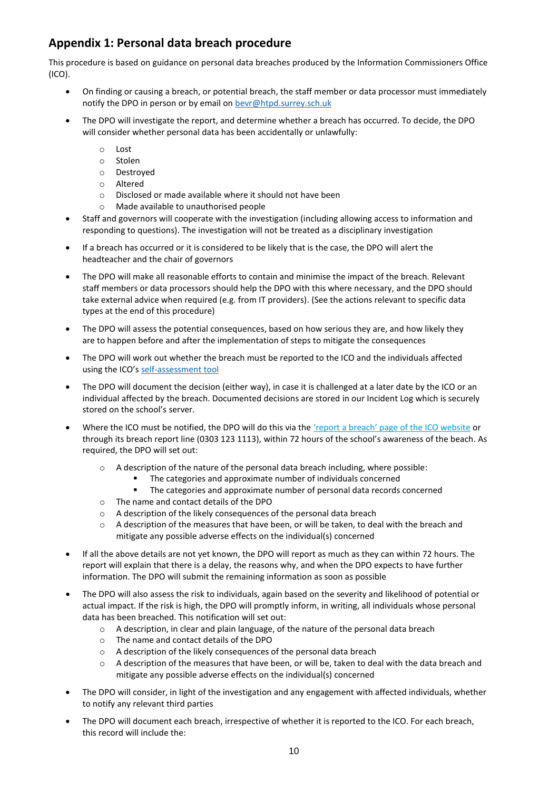## **Appendix 1: Personal data breach procedure**

This procedure is based o[n guidance on personal data breaches](https://ico.org.uk/for-organisations/guide-to-the-general-data-protection-regulation-gdpr/personal-data-breaches/) produced by the Information Commissioners Office (ICO).

- On finding or causing a breach, or potential breach, the staff member or data processor must immediately notify the DPO in person or by email o[n bevr@htpd.surrey.sch.uk](mailto:bevr@htpd.surrey.sch.uk)
- The DPO will investigate the report, and determine whether a breach has occurred. To decide, the DPO will consider whether personal data has been accidentally or unlawfully:
	- o Lost
	- o Stolen
	- o Destroyed
	- o Altered
	- o Disclosed or made available where it should not have been
	- o Made available to unauthorised people
- Staff and governors will cooperate with the investigation (including allowing access to information and responding to questions). The investigation will not be treated as a disciplinary investigation
- If a breach has occurred or it is considered to be likely that is the case, the DPO will alert the headteacher and the chair of governors
- The DPO will make all reasonable efforts to contain and minimise the impact of the breach. Relevant staff members or data processors should help the DPO with this where necessary, and the DPO should take external advice when required (e.g. from IT providers). (See the actions relevant to specific data types at the end of this procedure)
- The DPO will assess the potential consequences, based on how serious they are, and how likely they are to happen before and after the implementation of steps to mitigate the consequences
- The DPO will work out whether the breach must be reported to the ICO and the individuals affected using the ICO's [self-assessment tool](https://ico.org.uk/for-organisations/report-a-breach/personal-data-breach-assessment/)
- The DPO will document the decision (either way), in case it is challenged at a later date by the ICO or an individual affected by the breach. Documented decisions are stored in our Incident Log which is securely stored on the school's server.
- Where the ICO must be notified, the DPO will do this via the ['report a breach' page of the ICO website](https://ico.org.uk/for-organisations/report-a-breach/) or through its breach report line (0303 123 1113), within 72 hours of the school's awareness of the beach. As required, the DPO will set out:
	- o A description of the nature of the personal data breach including, where possible:
		- The categories and approximate number of individuals concerned<br>The categories and approximate number of personal data records
		- The categories and approximate number of personal data records concerned
	- o The name and contact details of the DPO
	- o A description of the likely consequences of the personal data breach
	- $\circ$  A description of the measures that have been, or will be taken, to deal with the breach and mitigate any possible adverse effects on the individual(s) concerned
- If all the above details are not yet known, the DPO will report as much as they can within 72 hours. The report will explain that there is a delay, the reasons why, and when the DPO expects to have further information. The DPO will submit the remaining information as soon as possible
- The DPO will also assess the risk to individuals, again based on the severity and likelihood of potential or actual impact. If the risk is high, the DPO will promptly inform, in writing, all individuals whose personal data has been breached. This notification will set out:
	- o A description, in clear and plain language, of the nature of the personal data breach
	- o The name and contact details of the DPO
	- o A description of the likely consequences of the personal data breach
	- $\circ$  A description of the measures that have been, or will be, taken to deal with the data breach and mitigate any possible adverse effects on the individual(s) concerned
- The DPO will consider, in light of the investigation and any engagement with affected individuals, whether to notify any relevant third parties
- The DPO will document each breach, irrespective of whether it is reported to the ICO. For each breach, this record will include the: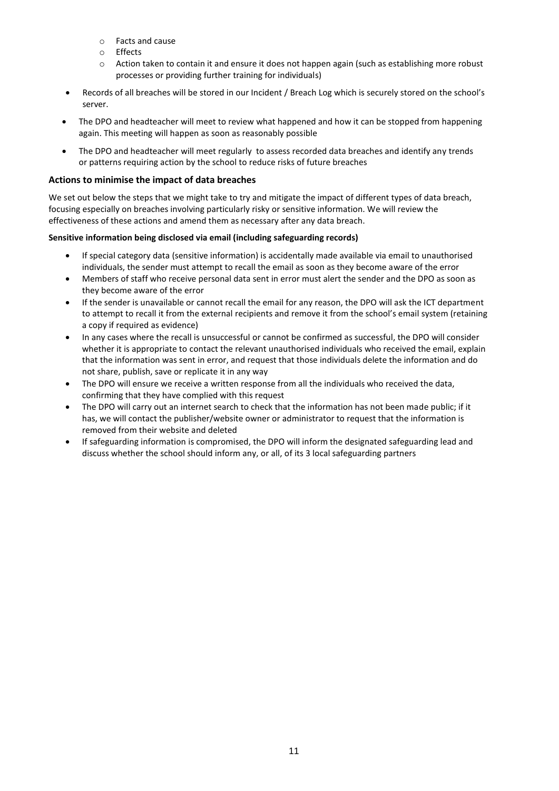- o Facts and cause
- o Effects
- o Action taken to contain it and ensure it does not happen again (such as establishing more robust processes or providing further training for individuals)
- Records of all breaches will be stored in our Incident / Breach Log which is securely stored on the school's server.
- The DPO and headteacher will meet to review what happened and how it can be stopped from happening again. This meeting will happen as soon as reasonably possible
- The DPO and headteacher will meet regularly to assess recorded data breaches and identify any trends or patterns requiring action by the school to reduce risks of future breaches

#### **Actions to minimise the impact of data breaches**

We set out below the steps that we might take to try and mitigate the impact of different types of data breach, focusing especially on breaches involving particularly risky or sensitive information. We will review the effectiveness of these actions and amend them as necessary after any data breach.

#### **Sensitive information being disclosed via email (including safeguarding records)**

- If special category data (sensitive information) is accidentally made available via email to unauthorised individuals, the sender must attempt to recall the email as soon as they become aware of the error
- Members of staff who receive personal data sent in error must alert the sender and the DPO as soon as they become aware of the error
- If the sender is unavailable or cannot recall the email for any reason, the DPO will ask the ICT department to attempt to recall it from the external recipients and remove it from the school's email system (retaining a copy if required as evidence)
- In any cases where the recall is unsuccessful or cannot be confirmed as successful, the DPO will consider whether it is appropriate to contact the relevant unauthorised individuals who received the email, explain that the information was sent in error, and request that those individuals delete the information and do not share, publish, save or replicate it in any way
- The DPO will ensure we receive a written response from all the individuals who received the data, confirming that they have complied with this request
- The DPO will carry out an internet search to check that the information has not been made public; if it has, we will contact the publisher/website owner or administrator to request that the information is removed from their website and deleted
- If safeguarding information is compromised, the DPO will inform the designated safeguarding lead and discuss whether the school should inform any, or all, of its 3 local safeguarding partners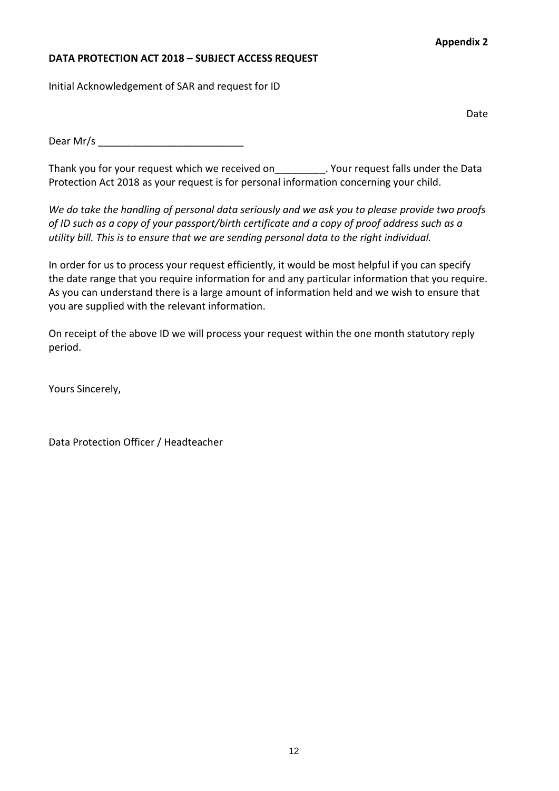### **Appendix 2**

#### **DATA PROTECTION ACT 2018 – SUBJECT ACCESS REQUEST**

Initial Acknowledgement of SAR and request for ID

Date

 $Dear$  Mr/s

Thank you for your request which we received on\_\_\_\_\_\_\_\_\_. Your request falls under the Data Protection Act 2018 as your request is for personal information concerning your child.

*We do take the handling of personal data seriously and we ask you to please provide two proofs of ID such as a copy of your passport/birth certificate and a copy of proof address such as a utility bill. This is to ensure that we are sending personal data to the right individual.*

In order for us to process your request efficiently, it would be most helpful if you can specify the date range that you require information for and any particular information that you require. As you can understand there is a large amount of information held and we wish to ensure that you are supplied with the relevant information.

On receipt of the above ID we will process your request within the one month statutory reply period.

Yours Sincerely,

Data Protection Officer / Headteacher